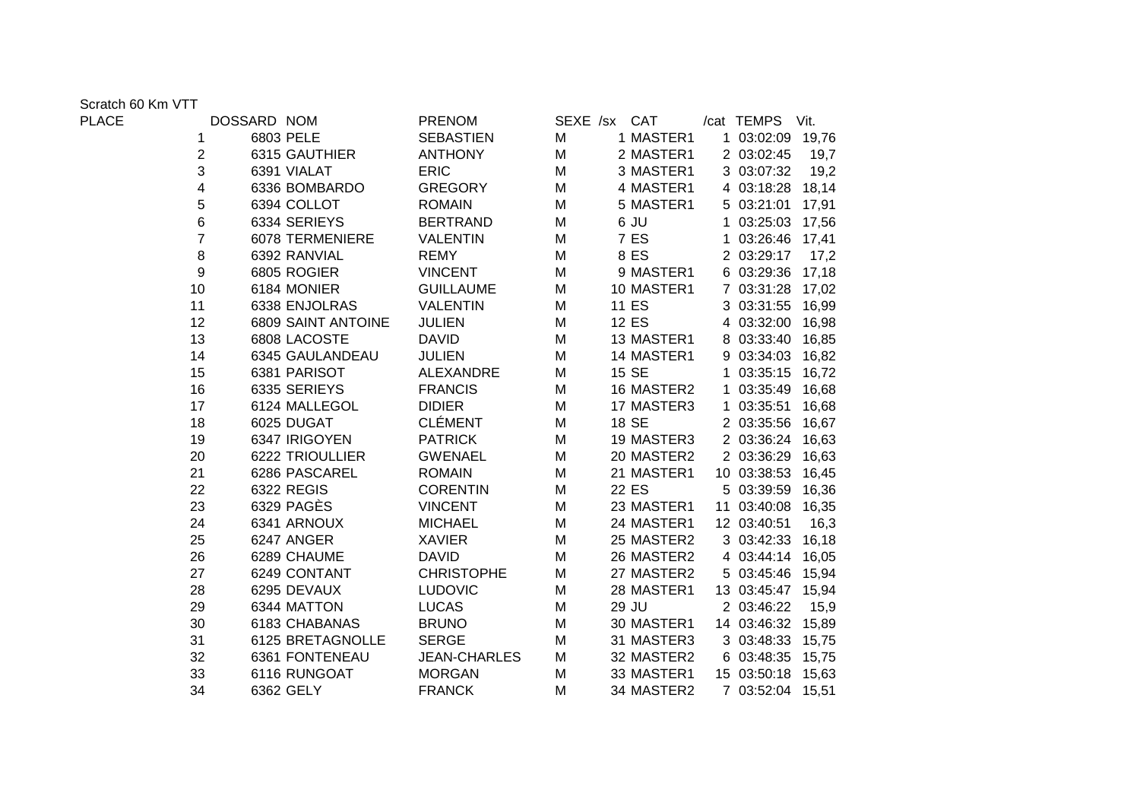Scratch 60 Km VTT<br>PLACE

| PLACE |                | DOSSARD NOM        | <b>PRENOM</b>       |   | SEXE /sx CAT | /cat TEMPS Vit.   |       |
|-------|----------------|--------------------|---------------------|---|--------------|-------------------|-------|
|       | 1              | 6803 PELE          | <b>SEBASTIEN</b>    | M | 1 MASTER1    | 1 03:02:09 19,76  |       |
|       | 2              | 6315 GAUTHIER      | <b>ANTHONY</b>      | M | 2 MASTER1    | 2 03:02:45        | 19,7  |
|       | 3              | 6391 VIALAT        | <b>ERIC</b>         | M | 3 MASTER1    | 3 03:07:32        | 19,2  |
|       | 4              | 6336 BOMBARDO      | <b>GREGORY</b>      | M | 4 MASTER1    | 4 03:18:28 18,14  |       |
|       | 5              | 6394 COLLOT        | <b>ROMAIN</b>       | M | 5 MASTER1    | 5 03:21:01 17,91  |       |
|       | 6              | 6334 SERIEYS       | <b>BERTRAND</b>     | M | 6 JU         | 1 03:25:03 17,56  |       |
|       | $\overline{7}$ | 6078 TERMENIERE    | <b>VALENTIN</b>     | M | 7 ES         | 1 03:26:46 17,41  |       |
|       | 8              | 6392 RANVIAL       | <b>REMY</b>         | M | 8 ES         | 2 03:29:17        | 17,2  |
|       | 9              | 6805 ROGIER        | <b>VINCENT</b>      | M | 9 MASTER1    | 6 03:29:36 17,18  |       |
|       | 10             | 6184 MONIER        | <b>GUILLAUME</b>    | M | 10 MASTER1   | 7 03:31:28 17,02  |       |
|       | 11             | 6338 ENJOLRAS      | <b>VALENTIN</b>     | M | 11 ES        | 3 03:31:55        | 16,99 |
|       | 12             | 6809 SAINT ANTOINE | <b>JULIEN</b>       | M | 12 ES        | 4 03:32:00        | 16,98 |
|       | 13             | 6808 LACOSTE       | <b>DAVID</b>        | M | 13 MASTER1   | 8 03:33:40 16,85  |       |
|       | 14             | 6345 GAULANDEAU    | <b>JULIEN</b>       | M | 14 MASTER1   | 9 03:34:03 16,82  |       |
|       | 15             | 6381 PARISOT       | <b>ALEXANDRE</b>    | M | 15 SE        | 1 03:35:15        | 16,72 |
|       | 16             | 6335 SERIEYS       | <b>FRANCIS</b>      | M | 16 MASTER2   | 1 03:35:49        | 16,68 |
|       | 17             | 6124 MALLEGOL      | <b>DIDIER</b>       | M | 17 MASTER3   | 1 03:35:51        | 16,68 |
|       | 18             | 6025 DUGAT         | <b>CLÉMENT</b>      | M | 18 SE        | 2 03:35:56        | 16,67 |
|       | 19             | 6347 IRIGOYEN      | <b>PATRICK</b>      | M | 19 MASTER3   | 2 03:36:24 16,63  |       |
|       | 20             | 6222 TRIOULLIER    | <b>GWENAEL</b>      | M | 20 MASTER2   | 2 03:36:29 16,63  |       |
|       | 21             | 6286 PASCAREL      | <b>ROMAIN</b>       | M | 21 MASTER1   | 10 03:38:53 16,45 |       |
|       | 22             | 6322 REGIS         | <b>CORENTIN</b>     | M | 22 ES        | 5 03:39:59        | 16,36 |
|       | 23             | 6329 PAGES         | <b>VINCENT</b>      | M | 23 MASTER1   | 11 03:40:08       | 16,35 |
|       | 24             | 6341 ARNOUX        | <b>MICHAEL</b>      | M | 24 MASTER1   | 12 03:40:51       | 16,3  |
|       | 25             | 6247 ANGER         | <b>XAVIER</b>       | M | 25 MASTER2   | 3 03:42:33        | 16,18 |
|       | 26             | 6289 CHAUME        | <b>DAVID</b>        | M | 26 MASTER2   | 4 03:44:14 16,05  |       |
|       | 27             | 6249 CONTANT       | <b>CHRISTOPHE</b>   | M | 27 MASTER2   | 5 03:45:46 15,94  |       |
|       | 28             | 6295 DEVAUX        | <b>LUDOVIC</b>      | M | 28 MASTER1   | 13 03:45:47 15,94 |       |
|       | 29             | 6344 MATTON        | <b>LUCAS</b>        | M | 29 JU        | 2 03:46:22        | 15,9  |
|       | 30             | 6183 CHABANAS      | <b>BRUNO</b>        | M | 30 MASTER1   | 14 03:46:32 15,89 |       |
|       | 31             | 6125 BRETAGNOLLE   | <b>SERGE</b>        | M | 31 MASTER3   | 3 03:48:33 15,75  |       |
|       | 32             | 6361 FONTENEAU     | <b>JEAN-CHARLES</b> | М | 32 MASTER2   | 6 03:48:35 15,75  |       |
|       | 33             | 6116 RUNGOAT       | <b>MORGAN</b>       | M | 33 MASTER1   | 15 03:50:18 15,63 |       |
|       | 34             | 6362 GELY          | <b>FRANCK</b>       | M | 34 MASTER2   | 7 03:52:04 15,51  |       |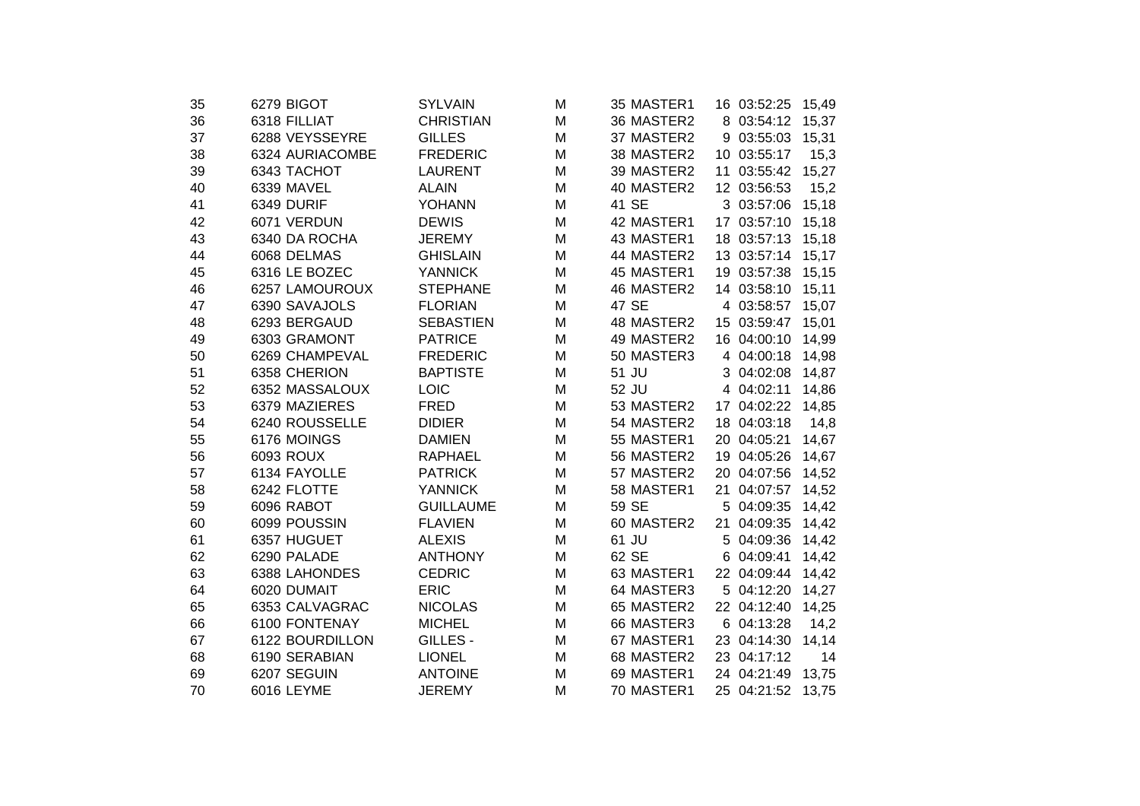| 35 | 6279 BIGOT      | <b>SYLVAIN</b>   | M | 35 MASTER1 | 16 03:52:25<br>15,49 |  |
|----|-----------------|------------------|---|------------|----------------------|--|
| 36 | 6318 FILLIAT    | <b>CHRISTIAN</b> | M | 36 MASTER2 | 8 03:54:12<br>15,37  |  |
| 37 | 6288 VEYSSEYRE  | <b>GILLES</b>    | M | 37 MASTER2 | 9 03:55:03<br>15,31  |  |
| 38 | 6324 AURIACOMBE | <b>FREDERIC</b>  | M | 38 MASTER2 | 10 03:55:17<br>15,3  |  |
| 39 | 6343 TACHOT     | <b>LAURENT</b>   | M | 39 MASTER2 | 11 03:55:42<br>15,27 |  |
| 40 | 6339 MAVEL      | <b>ALAIN</b>     | M | 40 MASTER2 | 12 03:56:53<br>15,2  |  |
| 41 | 6349 DURIF      | <b>YOHANN</b>    | M | 41 SE      | 3 03:57:06<br>15,18  |  |
| 42 | 6071 VERDUN     | <b>DEWIS</b>     | M | 42 MASTER1 | 15,18<br>17 03:57:10 |  |
| 43 | 6340 DA ROCHA   | <b>JEREMY</b>    | M | 43 MASTER1 | 18 03:57:13<br>15,18 |  |
| 44 | 6068 DELMAS     | <b>GHISLAIN</b>  | M | 44 MASTER2 | 13 03:57:14<br>15,17 |  |
| 45 | 6316 LE BOZEC   | <b>YANNICK</b>   | M | 45 MASTER1 | 19 03:57:38<br>15,15 |  |
| 46 | 6257 LAMOUROUX  | <b>STEPHANE</b>  | M | 46 MASTER2 | 14 03:58:10<br>15,11 |  |
| 47 | 6390 SAVAJOLS   | <b>FLORIAN</b>   | M | 47 SE      | 4 03:58:57<br>15,07  |  |
| 48 | 6293 BERGAUD    | <b>SEBASTIEN</b> | M | 48 MASTER2 | 15 03:59:47<br>15,01 |  |
| 49 | 6303 GRAMONT    | <b>PATRICE</b>   | M | 49 MASTER2 | 16 04:00:10<br>14,99 |  |
| 50 | 6269 CHAMPEVAL  | <b>FREDERIC</b>  | M | 50 MASTER3 | 4 04:00:18<br>14,98  |  |
| 51 | 6358 CHERION    | <b>BAPTISTE</b>  | M | 51 JU      | 3 04:02:08<br>14,87  |  |
| 52 | 6352 MASSALOUX  | <b>LOIC</b>      | M | 52 JU      | 4 04:02:11<br>14,86  |  |
| 53 | 6379 MAZIERES   | <b>FRED</b>      | M | 53 MASTER2 | 17 04:02:22<br>14,85 |  |
| 54 | 6240 ROUSSELLE  | <b>DIDIER</b>    | M | 54 MASTER2 | 18 04:03:18<br>14,8  |  |
| 55 | 6176 MOINGS     | <b>DAMIEN</b>    | M | 55 MASTER1 | 14,67<br>20 04:05:21 |  |
| 56 | 6093 ROUX       | <b>RAPHAEL</b>   | M | 56 MASTER2 | 19 04:05:26<br>14,67 |  |
| 57 | 6134 FAYOLLE    | <b>PATRICK</b>   | M | 57 MASTER2 | 20 04:07:56<br>14,52 |  |
| 58 | 6242 FLOTTE     | <b>YANNICK</b>   | M | 58 MASTER1 | 14,52<br>21 04:07:57 |  |
| 59 | 6096 RABOT      | <b>GUILLAUME</b> | M | 59 SE      | 5 04:09:35<br>14,42  |  |
| 60 | 6099 POUSSIN    | <b>FLAVIEN</b>   | M | 60 MASTER2 | 21 04:09:35<br>14,42 |  |
| 61 | 6357 HUGUET     | <b>ALEXIS</b>    | M | 61 JU      | 5 04:09:36<br>14,42  |  |
| 62 | 6290 PALADE     | <b>ANTHONY</b>   | M | 62 SE      | 6 04:09:41<br>14,42  |  |
| 63 | 6388 LAHONDES   | <b>CEDRIC</b>    | M | 63 MASTER1 | 22 04:09:44<br>14,42 |  |
| 64 | 6020 DUMAIT     | <b>ERIC</b>      | M | 64 MASTER3 | 5 04:12:20<br>14,27  |  |
| 65 | 6353 CALVAGRAC  | <b>NICOLAS</b>   | M | 65 MASTER2 | 22 04:12:40<br>14,25 |  |
| 66 | 6100 FONTENAY   | <b>MICHEL</b>    | M | 66 MASTER3 | 6 04:13:28<br>14,2   |  |
| 67 | 6122 BOURDILLON | GILLES -         | M | 67 MASTER1 | 23 04:14:30<br>14,14 |  |
| 68 | 6190 SERABIAN   | <b>LIONEL</b>    | M | 68 MASTER2 | 23 04:17:12<br>14    |  |
| 69 | 6207 SEGUIN     | <b>ANTOINE</b>   | M | 69 MASTER1 | 24 04:21:49<br>13,75 |  |
| 70 | 6016 LEYME      | <b>JEREMY</b>    | M | 70 MASTER1 | 25 04:21:52<br>13,75 |  |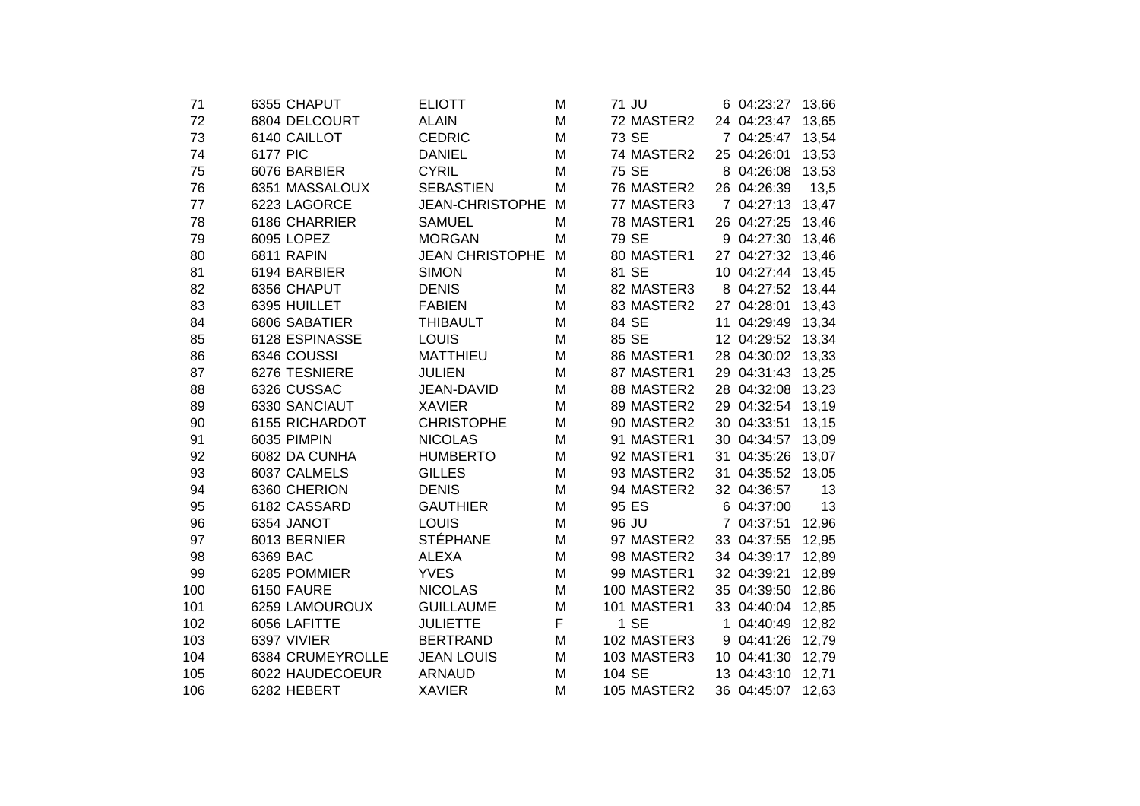| 71  | 6355 CHAPUT      | <b>ELIOTT</b>          | M | 71 JU  |             | 6 04:23:27        | 13,66 |
|-----|------------------|------------------------|---|--------|-------------|-------------------|-------|
| 72  | 6804 DELCOURT    | <b>ALAIN</b>           | M |        | 72 MASTER2  | 24 04:23:47       | 13,65 |
| 73  | 6140 CAILLOT     | <b>CEDRIC</b>          | M | 73 SE  |             | 7 04:25:47        | 13,54 |
| 74  | 6177 PIC         | <b>DANIEL</b>          | M |        | 74 MASTER2  | 25 04:26:01       | 13,53 |
| 75  | 6076 BARBIER     | <b>CYRIL</b>           | M | 75 SE  |             | 8 04:26:08        | 13,53 |
| 76  | 6351 MASSALOUX   | <b>SEBASTIEN</b>       | M |        | 76 MASTER2  | 26 04:26:39       | 13,5  |
| 77  | 6223 LAGORCE     | <b>JEAN-CHRISTOPHE</b> | M |        | 77 MASTER3  | 7 04:27:13        | 13,47 |
| 78  | 6186 CHARRIER    | <b>SAMUEL</b>          | M |        | 78 MASTER1  | 26 04:27:25       | 13,46 |
| 79  | 6095 LOPEZ       | <b>MORGAN</b>          | M | 79 SE  |             | 9 04:27:30        | 13,46 |
| 80  | 6811 RAPIN       | <b>JEAN CHRISTOPHE</b> | M |        | 80 MASTER1  | 27 04:27:32 13,46 |       |
| 81  | 6194 BARBIER     | <b>SIMON</b>           | M | 81 SE  |             | 10 04:27:44 13,45 |       |
| 82  | 6356 CHAPUT      | <b>DENIS</b>           | M |        | 82 MASTER3  | 8 04:27:52 13,44  |       |
| 83  | 6395 HUILLET     | <b>FABIEN</b>          | M |        | 83 MASTER2  | 27 04:28:01       | 13,43 |
| 84  | 6806 SABATIER    | <b>THIBAULT</b>        | M | 84 SE  |             | 11 04:29:49 13,34 |       |
| 85  | 6128 ESPINASSE   | LOUIS                  | M | 85 SE  |             | 12 04:29:52 13,34 |       |
| 86  | 6346 COUSSI      | <b>MATTHIEU</b>        | M |        | 86 MASTER1  | 28 04:30:02       | 13,33 |
| 87  | 6276 TESNIERE    | <b>JULIEN</b>          | M |        | 87 MASTER1  | 29 04:31:43       | 13,25 |
| 88  | 6326 CUSSAC      | JEAN-DAVID             | M |        | 88 MASTER2  | 28 04:32:08       | 13,23 |
| 89  | 6330 SANCIAUT    | <b>XAVIER</b>          | M |        | 89 MASTER2  | 29 04:32:54       | 13,19 |
| 90  | 6155 RICHARDOT   | <b>CHRISTOPHE</b>      | M |        | 90 MASTER2  | 30 04:33:51       | 13,15 |
| 91  | 6035 PIMPIN      | <b>NICOLAS</b>         | M |        | 91 MASTER1  | 30 04:34:57       | 13,09 |
| 92  | 6082 DA CUNHA    | <b>HUMBERTO</b>        | M |        | 92 MASTER1  | 31 04:35:26       | 13,07 |
| 93  | 6037 CALMELS     | <b>GILLES</b>          | M |        | 93 MASTER2  | 31 04:35:52 13,05 |       |
| 94  | 6360 CHERION     | <b>DENIS</b>           | M |        | 94 MASTER2  | 32 04:36:57       | 13    |
| 95  | 6182 CASSARD     | <b>GAUTHIER</b>        | M | 95 ES  |             | 6 04:37:00        | 13    |
| 96  | 6354 JANOT       | LOUIS                  | M | 96 JU  |             | 7 04:37:51        | 12,96 |
| 97  | 6013 BERNIER     | <b>STÉPHANE</b>        | M |        | 97 MASTER2  | 33 04:37:55       | 12,95 |
| 98  | 6369 BAC         | <b>ALEXA</b>           | M |        | 98 MASTER2  | 34 04:39:17       | 12,89 |
| 99  | 6285 POMMIER     | <b>YVES</b>            | M |        | 99 MASTER1  | 32 04:39:21       | 12,89 |
| 100 | 6150 FAURE       | <b>NICOLAS</b>         | M |        | 100 MASTER2 | 35 04:39:50       | 12,86 |
| 101 | 6259 LAMOUROUX   | <b>GUILLAUME</b>       | M |        | 101 MASTER1 | 33 04:40:04       | 12,85 |
| 102 | 6056 LAFITTE     | <b>JULIETTE</b>        | F |        | 1 SE        | 1 04:40:49        | 12,82 |
| 103 | 6397 VIVIER      | <b>BERTRAND</b>        | М |        | 102 MASTER3 | 9 04:41:26        | 12,79 |
| 104 | 6384 CRUMEYROLLE | <b>JEAN LOUIS</b>      | M |        | 103 MASTER3 | 10 04:41:30       | 12,79 |
| 105 | 6022 HAUDECOEUR  | <b>ARNAUD</b>          | M | 104 SE |             | 13 04:43:10       | 12,71 |
| 106 | 6282 HEBERT      | <b>XAVIER</b>          | M |        | 105 MASTER2 | 36 04:45:07       | 12,63 |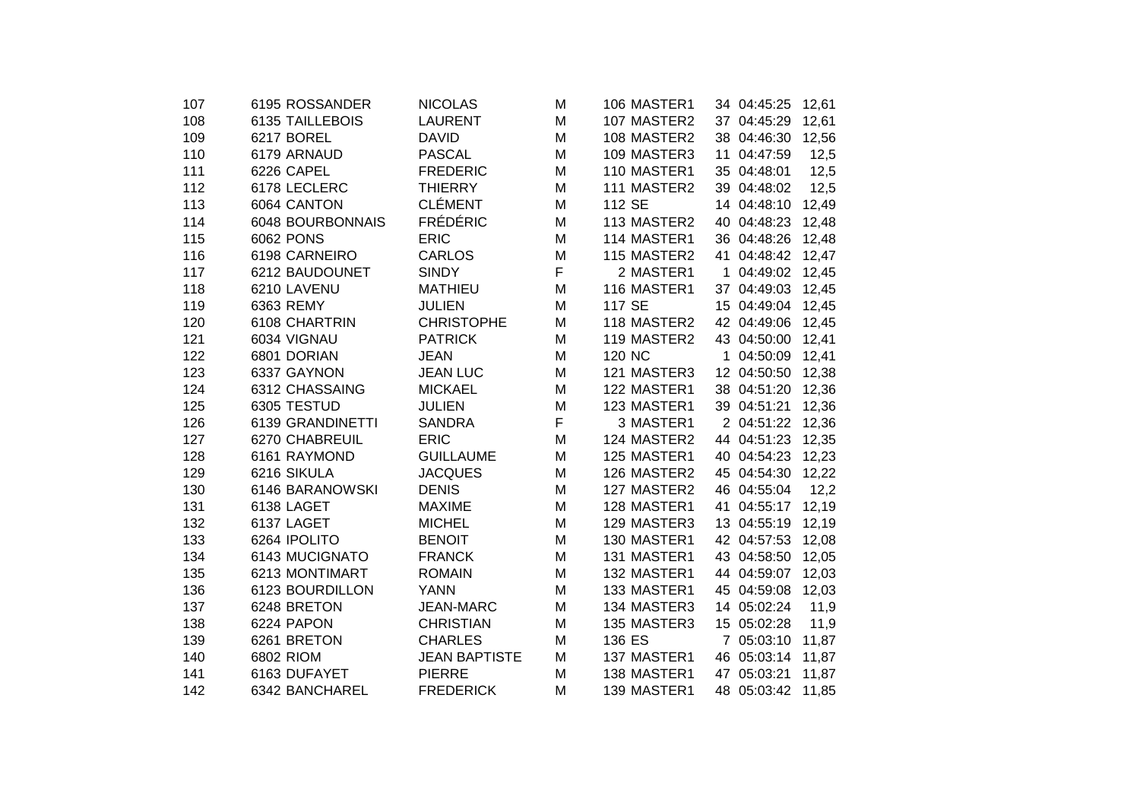| 107 | 6195 ROSSANDER   | <b>NICOLAS</b>       | M  | 106 MASTER1 | 34 04:45:25       | 12,61 |  |
|-----|------------------|----------------------|----|-------------|-------------------|-------|--|
| 108 | 6135 TAILLEBOIS  | <b>LAURENT</b>       | M  | 107 MASTER2 | 37 04:45:29       | 12,61 |  |
| 109 | 6217 BOREL       | <b>DAVID</b>         | M  | 108 MASTER2 | 38 04:46:30 12,56 |       |  |
| 110 | 6179 ARNAUD      | <b>PASCAL</b>        | M  | 109 MASTER3 | 11 04:47:59       | 12,5  |  |
| 111 | 6226 CAPEL       | <b>FREDERIC</b>      | M  | 110 MASTER1 | 35 04:48:01       | 12,5  |  |
| 112 | 6178 LECLERC     | <b>THIERRY</b>       | M  | 111 MASTER2 | 39 04:48:02       | 12,5  |  |
| 113 | 6064 CANTON      | <b>CLÉMENT</b>       | M  | 112 SE      | 14 04:48:10       | 12,49 |  |
| 114 | 6048 BOURBONNAIS | <b>FRÉDÉRIC</b>      | M  | 113 MASTER2 | 40 04:48:23 12,48 |       |  |
| 115 | <b>6062 PONS</b> | <b>ERIC</b>          | M  | 114 MASTER1 | 36 04:48:26 12,48 |       |  |
| 116 | 6198 CARNEIRO    | <b>CARLOS</b>        | M  | 115 MASTER2 | 41 04:48:42 12,47 |       |  |
| 117 | 6212 BAUDOUNET   | <b>SINDY</b>         | F. | 2 MASTER1   | 1 04:49:02 12,45  |       |  |
| 118 | 6210 LAVENU      | <b>MATHIEU</b>       | M  | 116 MASTER1 | 37 04:49:03 12,45 |       |  |
| 119 | 6363 REMY        | <b>JULIEN</b>        | M  | 117 SE      | 15 04:49:04 12,45 |       |  |
| 120 | 6108 CHARTRIN    | <b>CHRISTOPHE</b>    | M  | 118 MASTER2 | 42 04:49:06 12,45 |       |  |
| 121 | 6034 VIGNAU      | <b>PATRICK</b>       | M  | 119 MASTER2 | 43 04:50:00 12,41 |       |  |
| 122 | 6801 DORIAN      | <b>JEAN</b>          | M  | 120 NC      | 1 04:50:09 12,41  |       |  |
| 123 | 6337 GAYNON      | <b>JEAN LUC</b>      | M  | 121 MASTER3 | 12 04:50:50 12,38 |       |  |
| 124 | 6312 CHASSAING   | <b>MICKAEL</b>       | M  | 122 MASTER1 | 38 04:51:20       | 12,36 |  |
| 125 | 6305 TESTUD      | <b>JULIEN</b>        | M  | 123 MASTER1 | 39 04:51:21       | 12,36 |  |
| 126 | 6139 GRANDINETTI | <b>SANDRA</b>        | F  | 3 MASTER1   | 2 04:51:22 12,36  |       |  |
| 127 | 6270 CHABREUIL   | <b>ERIC</b>          | M  | 124 MASTER2 | 44 04:51:23       | 12,35 |  |
| 128 | 6161 RAYMOND     | <b>GUILLAUME</b>     | M  | 125 MASTER1 | 40 04:54:23 12,23 |       |  |
| 129 | 6216 SIKULA      | <b>JACQUES</b>       | M  | 126 MASTER2 | 45 04:54:30 12,22 |       |  |
| 130 | 6146 BARANOWSKI  | <b>DENIS</b>         | M  | 127 MASTER2 | 46 04:55:04       | 12,2  |  |
| 131 | 6138 LAGET       | <b>MAXIME</b>        | M  | 128 MASTER1 | 41 04:55:17 12,19 |       |  |
| 132 | 6137 LAGET       | <b>MICHEL</b>        | M  | 129 MASTER3 | 13 04:55:19 12,19 |       |  |
| 133 | 6264 IPOLITO     | <b>BENOIT</b>        | M  | 130 MASTER1 | 42 04:57:53 12,08 |       |  |
| 134 | 6143 MUCIGNATO   | <b>FRANCK</b>        | M  | 131 MASTER1 | 43 04:58:50       | 12,05 |  |
| 135 | 6213 MONTIMART   | <b>ROMAIN</b>        | M  | 132 MASTER1 | 44 04:59:07       | 12,03 |  |
| 136 | 6123 BOURDILLON  | <b>YANN</b>          | M  | 133 MASTER1 | 45 04:59:08       | 12,03 |  |
| 137 | 6248 BRETON      | <b>JEAN-MARC</b>     | M  | 134 MASTER3 | 14 05:02:24       | 11,9  |  |
| 138 | 6224 PAPON       | <b>CHRISTIAN</b>     | M  | 135 MASTER3 | 15 05:02:28       | 11,9  |  |
| 139 | 6261 BRETON      | <b>CHARLES</b>       | M  | 136 ES      | 7 05:03:10        | 11,87 |  |
| 140 | 6802 RIOM        | <b>JEAN BAPTISTE</b> | М  | 137 MASTER1 | 46 05:03:14       | 11,87 |  |
| 141 | 6163 DUFAYET     | <b>PIERRE</b>        | M  | 138 MASTER1 | 47 05:03:21       | 11,87 |  |
| 142 | 6342 BANCHAREL   | <b>FREDERICK</b>     | M  | 139 MASTER1 | 48 05:03:42 11,85 |       |  |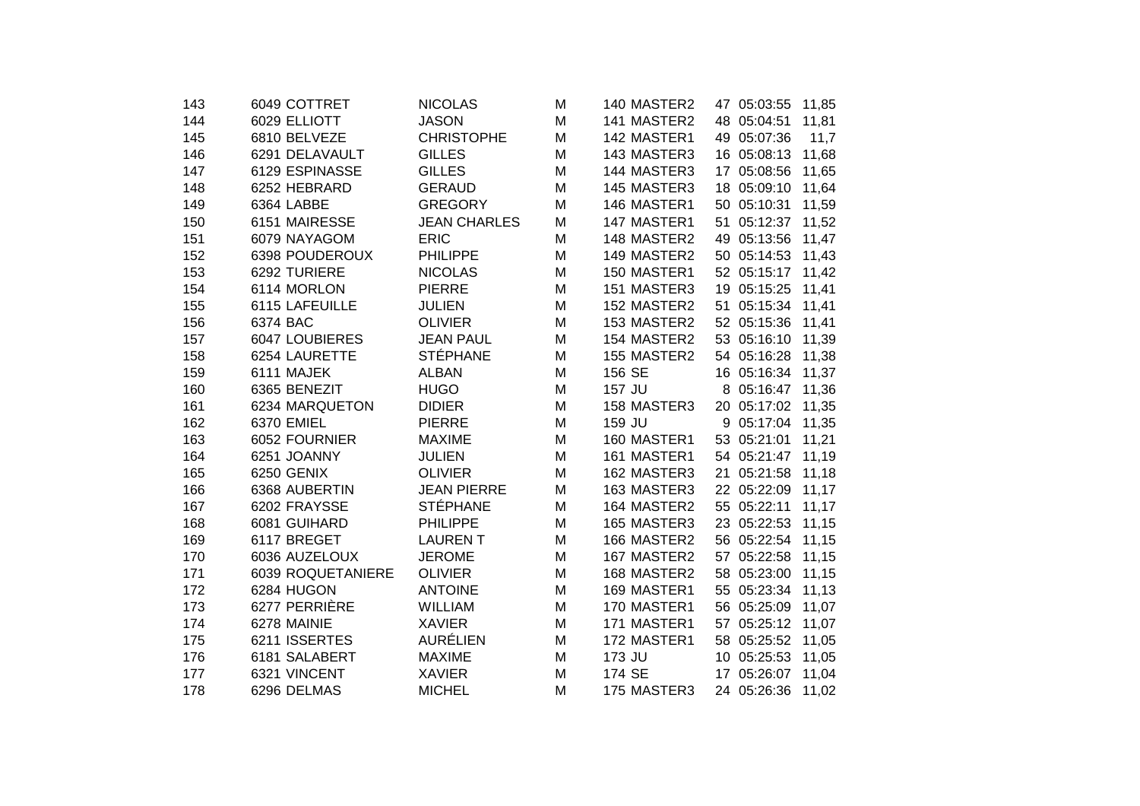| 143 | 6049 COTTRET      | <b>NICOLAS</b>      | M | 140 MASTER2 | 47 05:03:55<br>11,85 |
|-----|-------------------|---------------------|---|-------------|----------------------|
| 144 | 6029 ELLIOTT      | <b>JASON</b>        | M | 141 MASTER2 | 48 05:04:51<br>11,81 |
| 145 | 6810 BELVEZE      | <b>CHRISTOPHE</b>   | M | 142 MASTER1 | 49 05:07:36<br>11,7  |
| 146 | 6291 DELAVAULT    | <b>GILLES</b>       | M | 143 MASTER3 | 16 05:08:13 11,68    |
| 147 | 6129 ESPINASSE    | <b>GILLES</b>       | M | 144 MASTER3 | 17 05:08:56<br>11,65 |
| 148 | 6252 HEBRARD      | <b>GERAUD</b>       | M | 145 MASTER3 | 18 05:09:10 11,64    |
| 149 | 6364 LABBE        | <b>GREGORY</b>      | M | 146 MASTER1 | 50 05:10:31 11,59    |
| 150 | 6151 MAIRESSE     | <b>JEAN CHARLES</b> | M | 147 MASTER1 | 51 05:12:37 11,52    |
| 151 | 6079 NAYAGOM      | <b>ERIC</b>         | M | 148 MASTER2 | 49 05:13:56 11,47    |
| 152 | 6398 POUDEROUX    | <b>PHILIPPE</b>     | M | 149 MASTER2 | 50 05:14:53 11,43    |
| 153 | 6292 TURIERE      | <b>NICOLAS</b>      | M | 150 MASTER1 | 52 05:15:17 11,42    |
| 154 | 6114 MORLON       | <b>PIERRE</b>       | M | 151 MASTER3 | 19 05:15:25 11,41    |
| 155 | 6115 LAFEUILLE    | <b>JULIEN</b>       | M | 152 MASTER2 | 51 05:15:34 11,41    |
| 156 | 6374 BAC          | <b>OLIVIER</b>      | M | 153 MASTER2 | 52 05:15:36 11,41    |
| 157 | 6047 LOUBIERES    | <b>JEAN PAUL</b>    | M | 154 MASTER2 | 53 05:16:10 11,39    |
| 158 | 6254 LAURETTE     | <b>STÉPHANE</b>     | M | 155 MASTER2 | 54 05:16:28 11,38    |
| 159 | 6111 MAJEK        | <b>ALBAN</b>        | M | 156 SE      | 16 05:16:34 11,37    |
| 160 | 6365 BENEZIT      | <b>HUGO</b>         | M | 157 JU      | 8 05:16:47 11,36     |
| 161 | 6234 MARQUETON    | <b>DIDIER</b>       | M | 158 MASTER3 | 20 05:17:02 11,35    |
| 162 | 6370 EMIEL        | <b>PIERRE</b>       | M | 159 JU      | 9 05:17:04 11,35     |
| 163 | 6052 FOURNIER     | <b>MAXIME</b>       | M | 160 MASTER1 | 53 05:21:01<br>11,21 |
| 164 | 6251 JOANNY       | <b>JULIEN</b>       | M | 161 MASTER1 | 54 05:21:47 11,19    |
| 165 | 6250 GENIX        | <b>OLIVIER</b>      | M | 162 MASTER3 | 21 05:21:58 11,18    |
| 166 | 6368 AUBERTIN     | <b>JEAN PIERRE</b>  | M | 163 MASTER3 | 22 05:22:09 11,17    |
| 167 | 6202 FRAYSSE      | <b>STÉPHANE</b>     | M | 164 MASTER2 | 55 05:22:11 11,17    |
| 168 | 6081 GUIHARD      | <b>PHILIPPE</b>     | M | 165 MASTER3 | 23 05:22:53 11,15    |
| 169 | 6117 BREGET       | <b>LAURENT</b>      | M | 166 MASTER2 | 56 05:22:54 11,15    |
| 170 | 6036 AUZELOUX     | <b>JEROME</b>       | M | 167 MASTER2 | 57 05:22:58 11,15    |
| 171 | 6039 ROQUETANIERE | <b>OLIVIER</b>      | M | 168 MASTER2 | 58 05:23:00<br>11,15 |
| 172 | 6284 HUGON        | <b>ANTOINE</b>      | M | 169 MASTER1 | 55 05:23:34<br>11,13 |
| 173 | 6277 PERRIÈRE     | WILLIAM             | M | 170 MASTER1 | 56 05:25:09<br>11,07 |
| 174 | 6278 MAINIE       | <b>XAVIER</b>       | M | 171 MASTER1 | 57 05:25:12 11,07    |
| 175 | 6211 ISSERTES     | <b>AURÉLIEN</b>     | M | 172 MASTER1 | 58 05:25:52 11,05    |
| 176 | 6181 SALABERT     | <b>MAXIME</b>       | M | 173 JU      | 10 05:25:53 11,05    |
| 177 | 6321 VINCENT      | <b>XAVIER</b>       | M | 174 SE      | 17 05:26:07 11,04    |
| 178 | 6296 DELMAS       | <b>MICHEL</b>       | M | 175 MASTER3 | 24 05:26:36 11,02    |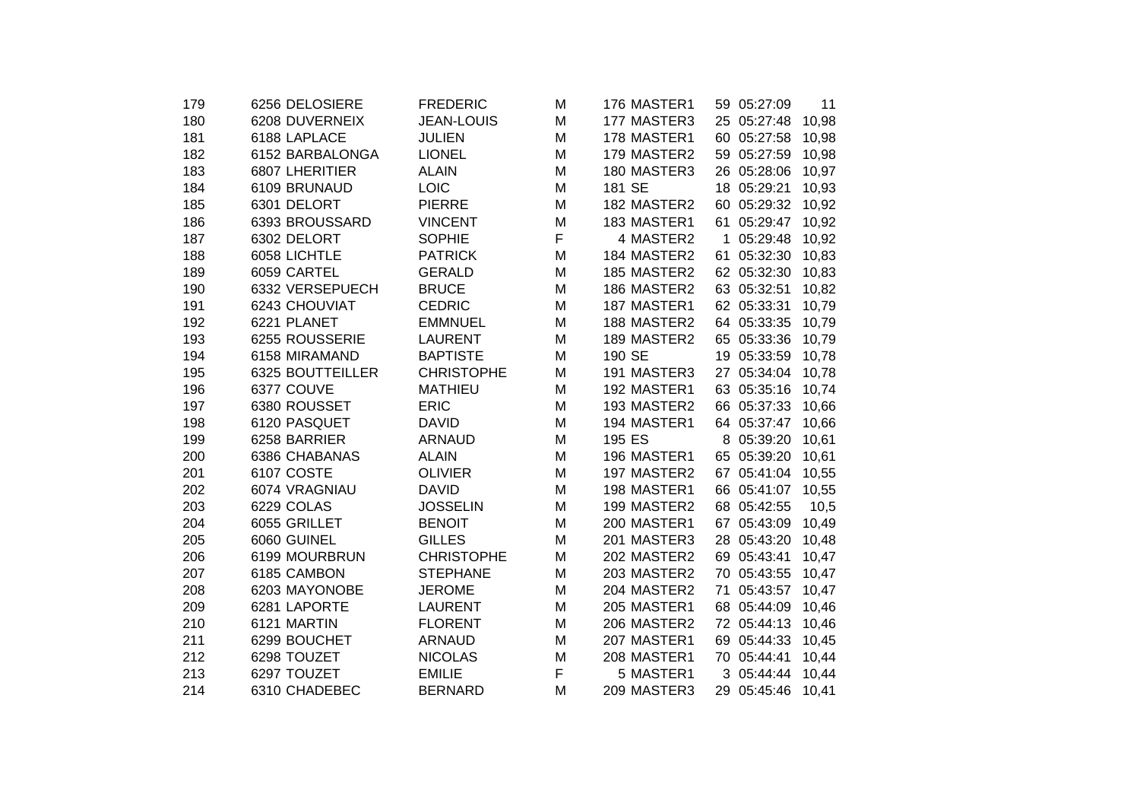| 179 | 6256 DELOSIERE   | <b>FREDERIC</b>   | M | 176 MASTER1 |    | 59 05:27:09 | 11    |
|-----|------------------|-------------------|---|-------------|----|-------------|-------|
| 180 | 6208 DUVERNEIX   | <b>JEAN-LOUIS</b> | M | 177 MASTER3 |    | 25 05:27:48 | 10,98 |
| 181 | 6188 LAPLACE     | <b>JULIEN</b>     | M | 178 MASTER1 |    | 60 05:27:58 | 10,98 |
| 182 | 6152 BARBALONGA  | <b>LIONEL</b>     | M | 179 MASTER2 |    | 59 05:27:59 | 10,98 |
| 183 | 6807 LHERITIER   | <b>ALAIN</b>      | M | 180 MASTER3 |    | 26 05:28:06 | 10,97 |
| 184 | 6109 BRUNAUD     | <b>LOIC</b>       | M | 181 SE      |    | 18 05:29:21 | 10,93 |
| 185 | 6301 DELORT      | <b>PIERRE</b>     | M | 182 MASTER2 |    | 60 05:29:32 | 10,92 |
| 186 | 6393 BROUSSARD   | <b>VINCENT</b>    | M | 183 MASTER1 |    | 61 05:29:47 | 10,92 |
| 187 | 6302 DELORT      | <b>SOPHIE</b>     | F | 4 MASTER2   |    | 1 05:29:48  | 10,92 |
| 188 | 6058 LICHTLE     | <b>PATRICK</b>    | M | 184 MASTER2 |    | 61 05:32:30 | 10,83 |
| 189 | 6059 CARTEL      | <b>GERALD</b>     | M | 185 MASTER2 |    | 62 05:32:30 | 10,83 |
| 190 | 6332 VERSEPUECH  | <b>BRUCE</b>      | M | 186 MASTER2 |    | 63 05:32:51 | 10,82 |
| 191 | 6243 CHOUVIAT    | <b>CEDRIC</b>     | M | 187 MASTER1 |    | 62 05:33:31 | 10,79 |
| 192 | 6221 PLANET      | <b>EMMNUEL</b>    | M | 188 MASTER2 |    | 64 05:33:35 | 10,79 |
| 193 | 6255 ROUSSERIE   | <b>LAURENT</b>    | M | 189 MASTER2 |    | 65 05:33:36 | 10,79 |
| 194 | 6158 MIRAMAND    | <b>BAPTISTE</b>   | M | 190 SE      |    | 19 05:33:59 | 10,78 |
| 195 | 6325 BOUTTEILLER | <b>CHRISTOPHE</b> | M | 191 MASTER3 |    | 27 05:34:04 | 10,78 |
| 196 | 6377 COUVE       | <b>MATHIEU</b>    | M | 192 MASTER1 |    | 63 05:35:16 | 10,74 |
| 197 | 6380 ROUSSET     | <b>ERIC</b>       | M | 193 MASTER2 |    | 66 05:37:33 | 10,66 |
| 198 | 6120 PASQUET     | <b>DAVID</b>      | M | 194 MASTER1 |    | 64 05:37:47 | 10,66 |
| 199 | 6258 BARRIER     | <b>ARNAUD</b>     | M | 195 ES      |    | 8 05:39:20  | 10,61 |
| 200 | 6386 CHABANAS    | <b>ALAIN</b>      | M | 196 MASTER1 |    | 65 05:39:20 | 10,61 |
| 201 | 6107 COSTE       | <b>OLIVIER</b>    | M | 197 MASTER2 |    | 67 05:41:04 | 10,55 |
| 202 | 6074 VRAGNIAU    | <b>DAVID</b>      | M | 198 MASTER1 |    | 66 05:41:07 | 10,55 |
| 203 | 6229 COLAS       | <b>JOSSELIN</b>   | M | 199 MASTER2 |    | 68 05:42:55 | 10,5  |
| 204 | 6055 GRILLET     | <b>BENOIT</b>     | M | 200 MASTER1 |    | 67 05:43:09 | 10,49 |
| 205 | 6060 GUINEL      | <b>GILLES</b>     | M | 201 MASTER3 |    | 28 05:43:20 | 10,48 |
| 206 | 6199 MOURBRUN    | <b>CHRISTOPHE</b> | M | 202 MASTER2 |    | 69 05:43:41 | 10,47 |
| 207 | 6185 CAMBON      | <b>STEPHANE</b>   | M | 203 MASTER2 |    | 70 05:43:55 | 10,47 |
| 208 | 6203 MAYONOBE    | <b>JEROME</b>     | M | 204 MASTER2 | 71 | 05:43:57    | 10,47 |
| 209 | 6281 LAPORTE     | <b>LAURENT</b>    | M | 205 MASTER1 |    | 68 05:44:09 | 10,46 |
| 210 | 6121 MARTIN      | <b>FLORENT</b>    | M | 206 MASTER2 |    | 72 05:44:13 | 10,46 |
| 211 | 6299 BOUCHET     | <b>ARNAUD</b>     | M | 207 MASTER1 |    | 69 05:44:33 | 10,45 |
| 212 | 6298 TOUZET      | <b>NICOLAS</b>    | м | 208 MASTER1 |    | 70 05:44:41 | 10,44 |
| 213 | 6297 TOUZET      | <b>EMILIE</b>     | F | 5 MASTER1   |    | 3 05:44:44  | 10,44 |
| 214 | 6310 CHADEBEC    | <b>BERNARD</b>    | M | 209 MASTER3 |    | 29 05:45:46 | 10,41 |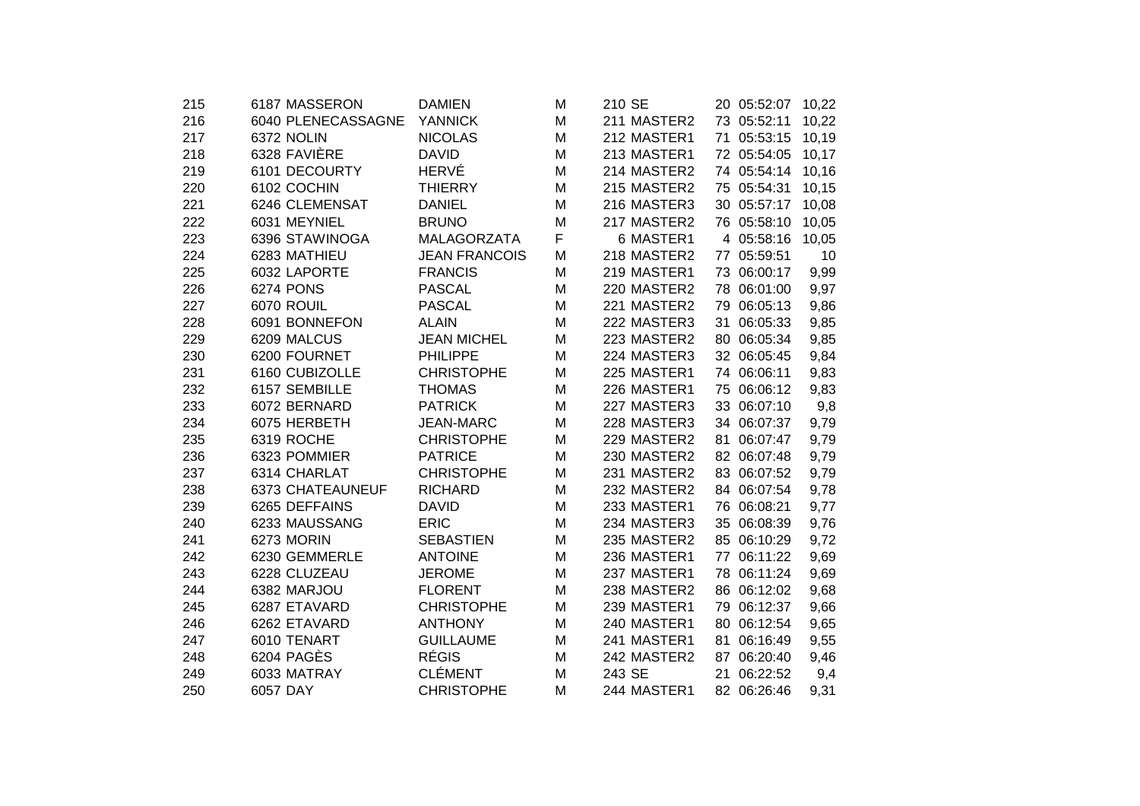| 215 | 6187 MASSERON      | <b>DAMIEN</b>        | M | 210 SE      |    | 20 05:52:07 | 10,22 |  |
|-----|--------------------|----------------------|---|-------------|----|-------------|-------|--|
| 216 | 6040 PLENECASSAGNE | <b>YANNICK</b>       | M | 211 MASTER2 |    | 73 05:52:11 | 10,22 |  |
| 217 | 6372 NOLIN         | <b>NICOLAS</b>       | M | 212 MASTER1 |    | 71 05:53:15 | 10,19 |  |
| 218 | 6328 FAVIÈRE       | <b>DAVID</b>         | M | 213 MASTER1 |    | 72 05:54:05 | 10,17 |  |
| 219 | 6101 DECOURTY      | <b>HERVÉ</b>         | M | 214 MASTER2 |    | 74 05:54:14 | 10,16 |  |
| 220 | 6102 COCHIN        | <b>THIERRY</b>       | M | 215 MASTER2 |    | 75 05:54:31 | 10,15 |  |
| 221 | 6246 CLEMENSAT     | <b>DANIEL</b>        | M | 216 MASTER3 |    | 30 05:57:17 | 10,08 |  |
| 222 | 6031 MEYNIEL       | <b>BRUNO</b>         | M | 217 MASTER2 |    | 76 05:58:10 | 10,05 |  |
| 223 | 6396 STAWINOGA     | MALAGORZATA          | F | 6 MASTER1   |    | 4 05:58:16  | 10,05 |  |
| 224 | 6283 MATHIEU       | <b>JEAN FRANCOIS</b> | M | 218 MASTER2 |    | 77 05:59:51 | 10    |  |
| 225 | 6032 LAPORTE       | <b>FRANCIS</b>       | Μ | 219 MASTER1 |    | 73 06:00:17 | 9,99  |  |
| 226 | <b>6274 PONS</b>   | <b>PASCAL</b>        | M | 220 MASTER2 |    | 78 06:01:00 | 9,97  |  |
| 227 | 6070 ROUIL         | <b>PASCAL</b>        | M | 221 MASTER2 |    | 79 06:05:13 | 9,86  |  |
| 228 | 6091 BONNEFON      | <b>ALAIN</b>         | M | 222 MASTER3 |    | 31 06:05:33 | 9,85  |  |
| 229 | 6209 MALCUS        | <b>JEAN MICHEL</b>   | M | 223 MASTER2 |    | 80 06:05:34 | 9,85  |  |
| 230 | 6200 FOURNET       | <b>PHILIPPE</b>      | M | 224 MASTER3 |    | 32 06:05:45 | 9,84  |  |
| 231 | 6160 CUBIZOLLE     | <b>CHRISTOPHE</b>    | M | 225 MASTER1 |    | 74 06:06:11 | 9,83  |  |
| 232 | 6157 SEMBILLE      | <b>THOMAS</b>        | M | 226 MASTER1 |    | 75 06:06:12 | 9,83  |  |
| 233 | 6072 BERNARD       | <b>PATRICK</b>       | M | 227 MASTER3 |    | 33 06:07:10 | 9,8   |  |
| 234 | 6075 HERBETH       | <b>JEAN-MARC</b>     | M | 228 MASTER3 |    | 34 06:07:37 | 9,79  |  |
| 235 | 6319 ROCHE         | <b>CHRISTOPHE</b>    | M | 229 MASTER2 | 81 | 06:07:47    | 9,79  |  |
| 236 | 6323 POMMIER       | <b>PATRICE</b>       | M | 230 MASTER2 |    | 82 06:07:48 | 9,79  |  |
| 237 | 6314 CHARLAT       | <b>CHRISTOPHE</b>    | M | 231 MASTER2 |    | 83 06:07:52 | 9,79  |  |
| 238 | 6373 CHATEAUNEUF   | <b>RICHARD</b>       | M | 232 MASTER2 |    | 84 06:07:54 | 9,78  |  |
| 239 | 6265 DEFFAINS      | <b>DAVID</b>         | M | 233 MASTER1 |    | 76 06:08:21 | 9,77  |  |
| 240 | 6233 MAUSSANG      | <b>ERIC</b>          | M | 234 MASTER3 |    | 35 06:08:39 | 9,76  |  |
| 241 | 6273 MORIN         | <b>SEBASTIEN</b>     | M | 235 MASTER2 |    | 85 06:10:29 | 9,72  |  |
| 242 | 6230 GEMMERLE      | <b>ANTOINE</b>       | M | 236 MASTER1 |    | 77 06:11:22 | 9,69  |  |
| 243 | 6228 CLUZEAU       | <b>JEROME</b>        | M | 237 MASTER1 |    | 78 06:11:24 | 9,69  |  |
| 244 | 6382 MARJOU        | <b>FLORENT</b>       | M | 238 MASTER2 |    | 86 06:12:02 | 9,68  |  |
| 245 | 6287 ETAVARD       | <b>CHRISTOPHE</b>    | M | 239 MASTER1 |    | 79 06:12:37 | 9,66  |  |
| 246 | 6262 ETAVARD       | <b>ANTHONY</b>       | M | 240 MASTER1 |    | 80 06:12:54 | 9,65  |  |
| 247 | 6010 TENART        | <b>GUILLAUME</b>     | M | 241 MASTER1 | 81 | 06:16:49    | 9,55  |  |
| 248 | 6204 PAGÈS         | <b>RÉGIS</b>         | M | 242 MASTER2 |    | 87 06:20:40 | 9,46  |  |
| 249 | 6033 MATRAY        | <b>CLÉMENT</b>       | M | 243 SE      |    | 21 06:22:52 | 9,4   |  |
| 250 | 6057 DAY           | <b>CHRISTOPHE</b>    | M | 244 MASTER1 |    | 82 06:26:46 | 9,31  |  |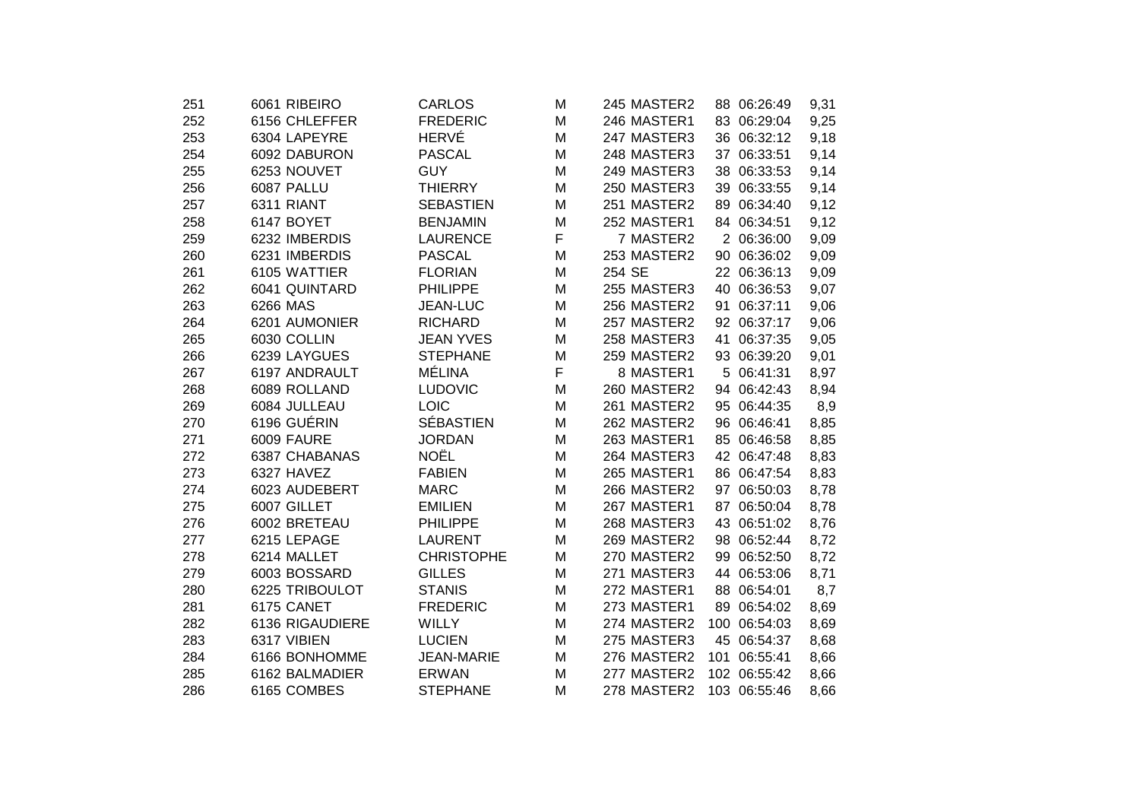| 251 | 6061 RIBEIRO    | <b>CARLOS</b>     | M | 245 MASTER2 |     | 88 06:26:49  | 9,31 |
|-----|-----------------|-------------------|---|-------------|-----|--------------|------|
| 252 | 6156 CHLEFFER   | <b>FREDERIC</b>   | M | 246 MASTER1 |     | 83 06:29:04  | 9,25 |
| 253 | 6304 LAPEYRE    | <b>HERVÉ</b>      | M | 247 MASTER3 |     | 36 06:32:12  | 9,18 |
| 254 | 6092 DABURON    | <b>PASCAL</b>     | M | 248 MASTER3 |     | 37 06:33:51  | 9,14 |
| 255 | 6253 NOUVET     | <b>GUY</b>        | M | 249 MASTER3 |     | 38 06:33:53  | 9,14 |
| 256 | 6087 PALLU      | <b>THIERRY</b>    | M | 250 MASTER3 |     | 39 06:33:55  | 9,14 |
| 257 | 6311 RIANT      | <b>SEBASTIEN</b>  | M | 251 MASTER2 |     | 89 06:34:40  | 9,12 |
| 258 | 6147 BOYET      | <b>BENJAMIN</b>   | M | 252 MASTER1 |     | 84 06:34:51  | 9,12 |
| 259 | 6232 IMBERDIS   | <b>LAURENCE</b>   | F | 7 MASTER2   |     | 2 06:36:00   | 9,09 |
| 260 | 6231 IMBERDIS   | <b>PASCAL</b>     | M | 253 MASTER2 |     | 90 06:36:02  | 9,09 |
| 261 | 6105 WATTIER    | <b>FLORIAN</b>    | M | 254 SE      |     | 22 06:36:13  | 9,09 |
| 262 | 6041 QUINTARD   | <b>PHILIPPE</b>   | M | 255 MASTER3 |     | 40 06:36:53  | 9,07 |
| 263 | 6266 MAS        | <b>JEAN-LUC</b>   | M | 256 MASTER2 |     | 91 06:37:11  | 9,06 |
| 264 | 6201 AUMONIER   | <b>RICHARD</b>    | M | 257 MASTER2 |     | 92 06:37:17  | 9,06 |
| 265 | 6030 COLLIN     | <b>JEAN YVES</b>  | M | 258 MASTER3 |     | 41 06:37:35  | 9,05 |
| 266 | 6239 LAYGUES    | <b>STEPHANE</b>   | M | 259 MASTER2 |     | 93 06:39:20  | 9,01 |
| 267 | 6197 ANDRAULT   | <b>MÉLINA</b>     | F | 8 MASTER1   |     | 5 06:41:31   | 8,97 |
| 268 | 6089 ROLLAND    | <b>LUDOVIC</b>    | M | 260 MASTER2 |     | 94 06:42:43  | 8,94 |
| 269 | 6084 JULLEAU    | <b>LOIC</b>       | M | 261 MASTER2 |     | 95 06:44:35  | 8,9  |
| 270 | 6196 GUÉRIN     | <b>SÉBASTIEN</b>  | M | 262 MASTER2 |     | 96 06:46:41  | 8,85 |
| 271 | 6009 FAURE      | <b>JORDAN</b>     | M | 263 MASTER1 |     | 85 06:46:58  | 8,85 |
| 272 | 6387 CHABANAS   | <b>NOËL</b>       | M | 264 MASTER3 |     | 42 06:47:48  | 8,83 |
| 273 | 6327 HAVEZ      | <b>FABIEN</b>     | M | 265 MASTER1 |     | 86 06:47:54  | 8,83 |
| 274 | 6023 AUDEBERT   | <b>MARC</b>       | M | 266 MASTER2 |     | 97 06:50:03  | 8,78 |
| 275 | 6007 GILLET     | <b>EMILIEN</b>    | M | 267 MASTER1 |     | 87 06:50:04  | 8,78 |
| 276 | 6002 BRETEAU    | <b>PHILIPPE</b>   | M | 268 MASTER3 |     | 43 06:51:02  | 8,76 |
| 277 | 6215 LEPAGE     | <b>LAURENT</b>    | M | 269 MASTER2 |     | 98 06:52:44  | 8,72 |
| 278 | 6214 MALLET     | <b>CHRISTOPHE</b> | M | 270 MASTER2 |     | 99 06:52:50  | 8,72 |
| 279 | 6003 BOSSARD    | <b>GILLES</b>     | M | 271 MASTER3 |     | 44 06:53:06  | 8,71 |
| 280 | 6225 TRIBOULOT  | <b>STANIS</b>     | M | 272 MASTER1 |     | 88 06:54:01  | 8,7  |
| 281 | 6175 CANET      | <b>FREDERIC</b>   | M | 273 MASTER1 |     | 89 06:54:02  | 8,69 |
| 282 | 6136 RIGAUDIERE | <b>WILLY</b>      | M | 274 MASTER2 |     | 100 06:54:03 | 8,69 |
| 283 | 6317 VIBIEN     | <b>LUCIEN</b>     | M | 275 MASTER3 |     | 45 06:54:37  | 8,68 |
| 284 | 6166 BONHOMME   | <b>JEAN-MARIE</b> | M | 276 MASTER2 | 101 | 06:55:41     | 8,66 |
| 285 | 6162 BALMADIER  | <b>ERWAN</b>      | M | 277 MASTER2 |     | 102 06:55:42 | 8,66 |
| 286 | 6165 COMBES     | <b>STEPHANE</b>   | M | 278 MASTER2 |     | 103 06:55:46 | 8,66 |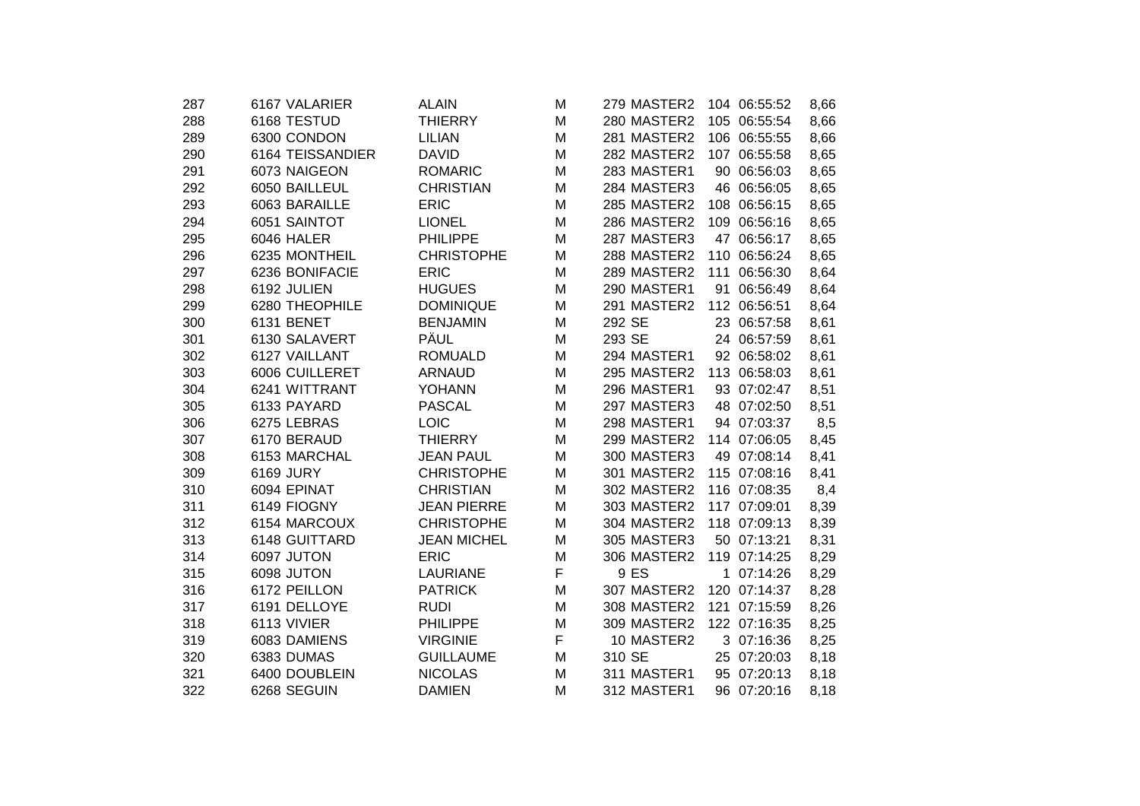| 287 | 6167 VALARIER    | <b>ALAIN</b>       | M | 279 MASTER2 |    | 104 06:55:52 | 8,66 |
|-----|------------------|--------------------|---|-------------|----|--------------|------|
| 288 | 6168 TESTUD      | <b>THIERRY</b>     | M | 280 MASTER2 |    | 105 06:55:54 | 8,66 |
| 289 | 6300 CONDON      | <b>LILIAN</b>      | M | 281 MASTER2 |    | 106 06:55:55 | 8,66 |
| 290 | 6164 TEISSANDIER | <b>DAVID</b>       | M | 282 MASTER2 |    | 107 06:55:58 | 8,65 |
| 291 | 6073 NAIGEON     | <b>ROMARIC</b>     | M | 283 MASTER1 |    | 90 06:56:03  | 8,65 |
| 292 | 6050 BAILLEUL    | <b>CHRISTIAN</b>   | M | 284 MASTER3 |    | 46 06:56:05  | 8,65 |
| 293 | 6063 BARAILLE    | <b>ERIC</b>        | M | 285 MASTER2 |    | 108 06:56:15 | 8,65 |
| 294 | 6051 SAINTOT     | <b>LIONEL</b>      | M | 286 MASTER2 |    | 109 06:56:16 | 8,65 |
| 295 | 6046 HALER       | <b>PHILIPPE</b>    | M | 287 MASTER3 |    | 47 06:56:17  | 8,65 |
| 296 | 6235 MONTHEIL    | <b>CHRISTOPHE</b>  | M | 288 MASTER2 |    | 110 06:56:24 | 8,65 |
| 297 | 6236 BONIFACIE   | <b>ERIC</b>        | Μ | 289 MASTER2 |    | 111 06:56:30 | 8,64 |
| 298 | 6192 JULIEN      | <b>HUGUES</b>      | M | 290 MASTER1 |    | 91 06:56:49  | 8,64 |
| 299 | 6280 THEOPHILE   | <b>DOMINIQUE</b>   | M | 291 MASTER2 |    | 112 06:56:51 | 8,64 |
| 300 | 6131 BENET       | <b>BENJAMIN</b>    | M | 292 SE      |    | 23 06:57:58  | 8,61 |
| 301 | 6130 SALAVERT    | PÄUL               | M | 293 SE      |    | 24 06:57:59  | 8,61 |
| 302 | 6127 VAILLANT    | <b>ROMUALD</b>     | M | 294 MASTER1 |    | 92 06:58:02  | 8,61 |
| 303 | 6006 CUILLERET   | <b>ARNAUD</b>      | M | 295 MASTER2 |    | 113 06:58:03 | 8,61 |
| 304 | 6241 WITTRANT    | <b>YOHANN</b>      | M | 296 MASTER1 |    | 93 07:02:47  | 8,51 |
| 305 | 6133 PAYARD      | <b>PASCAL</b>      | M | 297 MASTER3 |    | 48 07:02:50  | 8,51 |
| 306 | 6275 LEBRAS      | <b>LOIC</b>        | M | 298 MASTER1 |    | 94 07:03:37  | 8,5  |
| 307 | 6170 BERAUD      | <b>THIERRY</b>     | M | 299 MASTER2 |    | 114 07:06:05 | 8,45 |
| 308 | 6153 MARCHAL     | <b>JEAN PAUL</b>   | M | 300 MASTER3 |    | 49 07:08:14  | 8,41 |
| 309 | 6169 JURY        | <b>CHRISTOPHE</b>  | M | 301 MASTER2 |    | 115 07:08:16 | 8,41 |
| 310 | 6094 EPINAT      | <b>CHRISTIAN</b>   | M | 302 MASTER2 |    | 116 07:08:35 | 8,4  |
| 311 | 6149 FIOGNY      | <b>JEAN PIERRE</b> | M | 303 MASTER2 |    | 117 07:09:01 | 8,39 |
| 312 | 6154 MARCOUX     | <b>CHRISTOPHE</b>  | M | 304 MASTER2 |    | 118 07:09:13 | 8,39 |
| 313 | 6148 GUITTARD    | <b>JEAN MICHEL</b> | M | 305 MASTER3 |    | 50 07:13:21  | 8,31 |
| 314 | 6097 JUTON       | <b>ERIC</b>        | M | 306 MASTER2 |    | 119 07:14:25 | 8,29 |
| 315 | 6098 JUTON       | <b>LAURIANE</b>    | F | 9 ES        | 1. | 07:14:26     | 8,29 |
| 316 | 6172 PEILLON     | <b>PATRICK</b>     | M | 307 MASTER2 |    | 120 07:14:37 | 8,28 |
| 317 | 6191 DELLOYE     | <b>RUDI</b>        | M | 308 MASTER2 |    | 121 07:15:59 | 8,26 |
| 318 | 6113 VIVIER      | <b>PHILIPPE</b>    | M | 309 MASTER2 |    | 122 07:16:35 | 8,25 |
| 319 | 6083 DAMIENS     | <b>VIRGINIE</b>    | F | 10 MASTER2  |    | 3 07:16:36   | 8,25 |
| 320 | 6383 DUMAS       | <b>GUILLAUME</b>   | м | 310 SE      |    | 25 07:20:03  | 8,18 |
| 321 | 6400 DOUBLEIN    | <b>NICOLAS</b>     | M | 311 MASTER1 |    | 95 07:20:13  | 8,18 |
| 322 | 6268 SEGUIN      | <b>DAMIEN</b>      | M | 312 MASTER1 |    | 96 07:20:16  | 8,18 |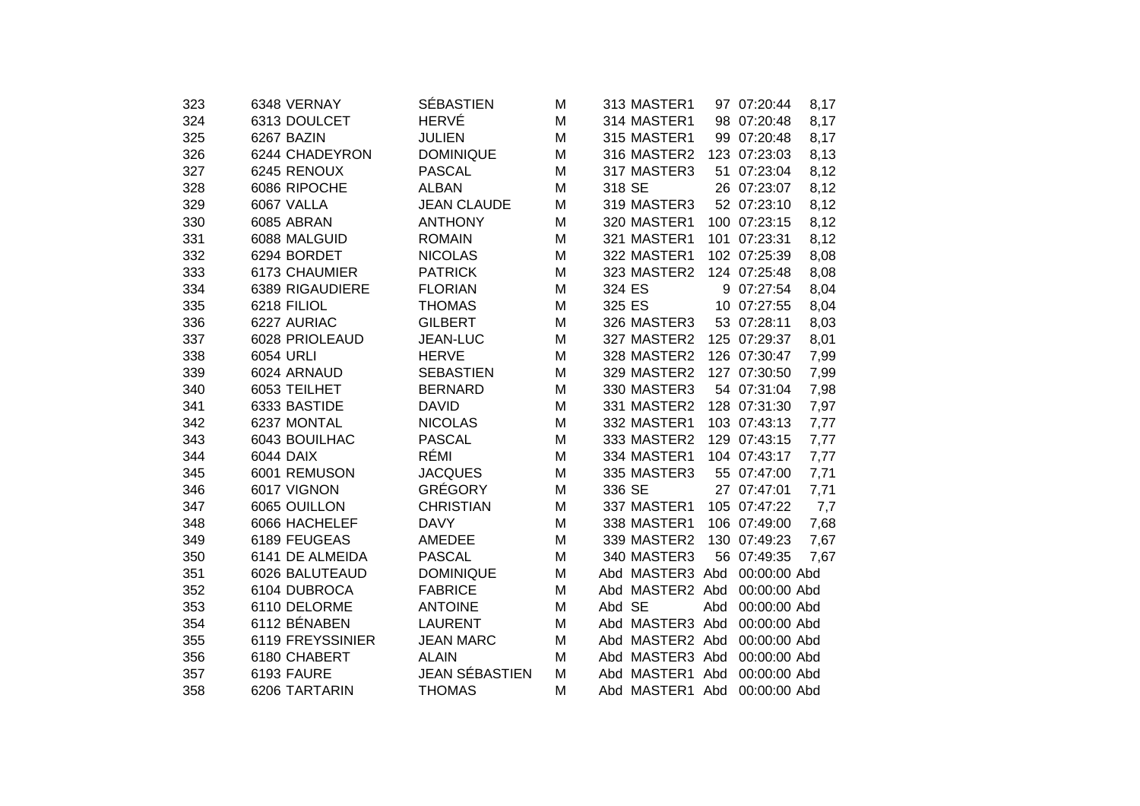| 323 | 6348 VERNAY      | <b>SÉBASTIEN</b>   | M | 313 MASTER1     |     | 97 07:20:44  | 8,17 |
|-----|------------------|--------------------|---|-----------------|-----|--------------|------|
| 324 | 6313 DOULCET     | <b>HERVÉ</b>       | M | 314 MASTER1     |     | 98 07:20:48  | 8,17 |
| 325 | 6267 BAZIN       | <b>JULIEN</b>      | M | 315 MASTER1     |     | 99 07:20:48  | 8,17 |
| 326 | 6244 CHADEYRON   | <b>DOMINIQUE</b>   | M | 316 MASTER2     |     | 123 07:23:03 | 8,13 |
| 327 | 6245 RENOUX      | <b>PASCAL</b>      | M | 317 MASTER3     | 51  | 07:23:04     | 8,12 |
| 328 | 6086 RIPOCHE     | <b>ALBAN</b>       | M | 318 SE          |     | 26 07:23:07  | 8,12 |
| 329 | 6067 VALLA       | <b>JEAN CLAUDE</b> | M | 319 MASTER3     |     | 52 07:23:10  | 8,12 |
| 330 | 6085 ABRAN       | <b>ANTHONY</b>     | M | 320 MASTER1     |     | 100 07:23:15 | 8,12 |
| 331 | 6088 MALGUID     | <b>ROMAIN</b>      | M | 321 MASTER1     |     | 101 07:23:31 | 8,12 |
| 332 | 6294 BORDET      | <b>NICOLAS</b>     | M | 322 MASTER1     |     | 102 07:25:39 | 8,08 |
| 333 | 6173 CHAUMIER    | <b>PATRICK</b>     | M | 323 MASTER2     |     | 124 07:25:48 | 8,08 |
| 334 | 6389 RIGAUDIERE  | <b>FLORIAN</b>     | M | 324 ES          |     | 9 07:27:54   | 8,04 |
| 335 | 6218 FILIOL      | <b>THOMAS</b>      | M | 325 ES          |     | 10 07:27:55  | 8,04 |
| 336 | 6227 AURIAC      | <b>GILBERT</b>     | M | 326 MASTER3     |     | 53 07:28:11  | 8,03 |
| 337 | 6028 PRIOLEAUD   | <b>JEAN-LUC</b>    | M | 327 MASTER2     |     | 125 07:29:37 | 8,01 |
| 338 | 6054 URLI        | <b>HERVE</b>       | M | 328 MASTER2     |     | 126 07:30:47 | 7,99 |
| 339 | 6024 ARNAUD      | <b>SEBASTIEN</b>   | M | 329 MASTER2     |     | 127 07:30:50 | 7,99 |
| 340 | 6053 TEILHET     | <b>BERNARD</b>     | M | 330 MASTER3     |     | 54 07:31:04  | 7,98 |
| 341 | 6333 BASTIDE     | <b>DAVID</b>       | M | 331 MASTER2     |     | 128 07:31:30 | 7,97 |
| 342 | 6237 MONTAL      | <b>NICOLAS</b>     | M | 332 MASTER1     |     | 103 07:43:13 | 7,77 |
| 343 | 6043 BOUILHAC    | <b>PASCAL</b>      | M | 333 MASTER2     |     | 129 07:43:15 | 7,77 |
| 344 | 6044 DAIX        | RÉMI               | M | 334 MASTER1     |     | 104 07:43:17 | 7,77 |
| 345 | 6001 REMUSON     | <b>JACQUES</b>     | M | 335 MASTER3     |     | 55 07:47:00  | 7,71 |
| 346 | 6017 VIGNON      | <b>GRÉGORY</b>     | M | 336 SE          |     | 27 07:47:01  | 7,71 |
| 347 | 6065 OUILLON     | <b>CHRISTIAN</b>   | M | 337 MASTER1     |     | 105 07:47:22 | 7,7  |
| 348 | 6066 HACHELEF    | <b>DAVY</b>        | M | 338 MASTER1     |     | 106 07:49:00 | 7,68 |
| 349 | 6189 FEUGEAS     | AMEDEE             | M | 339 MASTER2     |     | 130 07:49:23 | 7,67 |
| 350 | 6141 DE ALMEIDA  | <b>PASCAL</b>      | M | 340 MASTER3     |     | 56 07:49:35  | 7,67 |
| 351 | 6026 BALUTEAUD   | <b>DOMINIQUE</b>   | M | Abd MASTER3 Abd |     | 00:00:00 Abd |      |
| 352 | 6104 DUBROCA     | <b>FABRICE</b>     | M | Abd MASTER2 Abd |     | 00:00:00 Abd |      |
| 353 | 6110 DELORME     | <b>ANTOINE</b>     | M | Abd SE          | Abd | 00:00:00 Abd |      |
| 354 | 6112 BÉNABEN     | <b>LAURENT</b>     | M | Abd MASTER3 Abd |     | 00:00:00 Abd |      |
| 355 | 6119 FREYSSINIER | <b>JEAN MARC</b>   | M | Abd MASTER2 Abd |     | 00:00:00 Abd |      |
| 356 | 6180 CHABERT     | <b>ALAIN</b>       | M | Abd MASTER3 Abd |     | 00:00:00 Abd |      |
| 357 | 6193 FAURE       | JEAN SÉBASTIEN     | M | Abd MASTER1 Abd |     | 00:00:00 Abd |      |
| 358 | 6206 TARTARIN    | <b>THOMAS</b>      | M | Abd MASTER1 Abd |     | 00:00:00 Abd |      |